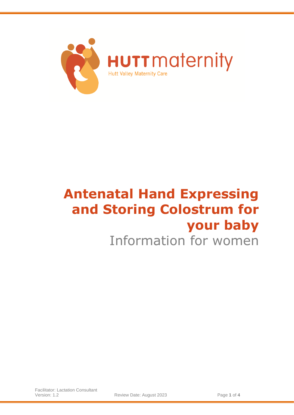

# **Antenatal Hand Expressing and Storing Colostrum for your baby**

# Information for women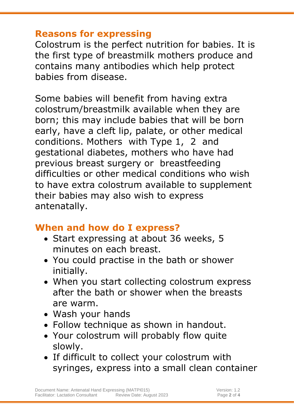#### **Reasons for expressing**

Colostrum is the perfect nutrition for babies. It is the first type of breastmilk mothers produce and contains many antibodies which help protect babies from disease.

Some babies will benefit from having extra colostrum/breastmilk available when they are born; this may include babies that will be born early, have a cleft lip, palate, or other medical conditions. Mothers with Type 1, 2 and gestational diabetes, mothers who have had previous breast surgery or breastfeeding difficulties or other medical conditions who wish to have extra colostrum available to supplement their babies may also wish to express antenatally.

## **When and how do I express?**

- Start expressing at about 36 weeks, 5 minutes on each breast.
- You could practise in the bath or shower initially.
- When you start collecting colostrum express after the bath or shower when the breasts are warm.
- Wash your hands
- Follow technique as shown in handout.
- Your colostrum will probably flow quite slowly.
- If difficult to collect your colostrum with syringes, express into a small clean container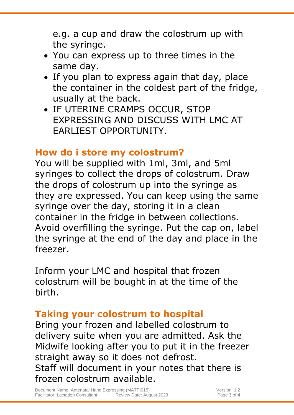e.g. a cup and draw the colostrum up with the syringe.

- You can express up to three times in the same day.
- If you plan to express again that day, place the container in the coldest part of the fridge, usually at the back.
- IF UTERINE CRAMPS OCCUR, STOP EXPRESSING AND DISCUSS WITH LMC AT EARLIEST OPPORTUNITY.

# **How do i store my colostrum?**

You will be supplied with 1ml, 3ml, and 5ml syringes to collect the drops of colostrum. Draw the drops of colostrum up into the syringe as they are expressed. You can keep using the same syringe over the day, storing it in a clean container in the fridge in between collections. Avoid overfilling the syringe. Put the cap on, label the syringe at the end of the day and place in the freezer.

Inform your LMC and hospital that frozen colostrum will be bought in at the time of the birth.

# **Taking your colostrum to hospital**

Bring your frozen and labelled colostrum to delivery suite when you are admitted. Ask the Midwife looking after you to put it in the freezer straight away so it does not defrost. Staff will document in your notes that there is frozen colostrum available.